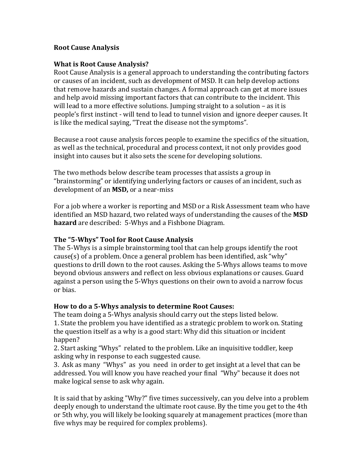#### **Root Cause Analysis**

#### **What is Root Cause Analysis?**

Root Cause Analysis is a general approach to understanding the contributing factors or causes of an incident, such as development of MSD. It can help develop actions that remove hazards and sustain changes. A formal approach can get at more issues and help avoid missing important factors that can contribute to the incident. This will lead to a more effective solutions. Jumping straight to a solution  $-$  as it is people's first instinct - will tend to lead to tunnel vision and ignore deeper causes. It is like the medical saying, "Treat the disease not the symptoms".

Because a root cause analysis forces people to examine the specifics of the situation, as well as the technical, procedural and process context, it not only provides good insight into causes but it also sets the scene for developing solutions.

The two methods below describe team processes that assists a group in "brainstorming" or identifying underlying factors or causes of an incident, such as development of an **MSD**, or a near-miss

For a job where a worker is reporting and MSD or a Risk Assessment team who have identified an MSD hazard, two related ways of understanding the causes of the **MSD hazard** are described: 5-Whys and a Fishbone Diagram.

### **The "5-Whys" Tool for Root Cause Analysis**

The 5-Whys is a simple brainstorming tool that can help groups identify the root  $cause(s)$  of a problem. Once a general problem has been identified, ask "why" questions to drill down to the root causes. Asking the 5-Whys allows teams to move beyond obvious answers and reflect on less obvious explanations or causes. Guard against a person using the 5-Whys questions on their own to avoid a narrow focus or bias.

### **How to do a 5-Whys analysis to determine Root Causes:**

The team doing a 5-Whys analysis should carry out the steps listed below. 1. State the problem you have identified as a strategic problem to work on. Stating the question itself as a why is a good start: Why did this situation or incident happen?

2. Start asking "Whys" related to the problem. Like an inquisitive toddler, keep asking why in response to each suggested cause.

3. Ask as many "Whys" as you need in order to get insight at a level that can be addressed. You will know you have reached your final "Why" because it does not make logical sense to ask why again.

It is said that by asking "Why?" five times successively, can you delve into a problem deeply enough to understand the ultimate root cause. By the time you get to the 4th or 5th why, you will likely be looking squarely at management practices (more than five whys may be required for complex problems).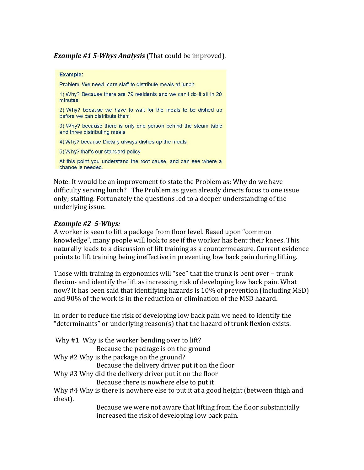*Example* #1 5-*Whys Analysis* (That could be improved).

## Example: Problem: We need more staff to distribute meals at lunch 1) Why? Because there are 79 residents and we can't do it all in 20 minutes 2) Why? because we have to wait for the meals to be dished up before we can distribute them 3) Why? because there is only one person behind the steam table and three distributing meals 4) Why? because Dietary always dishes up the meals 5) Why? that"s our standard policy At this point you understand the root cause, and can see where a change is needed.

Note: It would be an improvement to state the Problem as: Why do we have difficulty serving lunch? The Problem as given already directs focus to one issue only; staffing. Fortunately the questions led to a deeper understanding of the underlying issue.

### *Example* #2 5-*Whys:*

A worker is seen to lift a package from floor level. Based upon "common knowledge", many people will look to see if the worker has bent their knees. This naturally leads to a discussion of lift training as a countermeasure. Current evidence points to lift training being ineffective in preventing low back pain during lifting.

Those with training in ergonomics will "see" that the trunk is bent over - trunk flexion- and identify the lift as increasing risk of developing low back pain. What now? It has been said that identifying hazards is 10% of prevention (including MSD) and 90% of the work is in the reduction or elimination of the MSD hazard.

In order to reduce the risk of developing low back pain we need to identify the "determinants" or underlying reason(s) that the hazard of trunk flexion exists.

| Why #4 Why is there is nowhere else to put it at a good height (between thigh and |
|-----------------------------------------------------------------------------------|
|                                                                                   |
| Because we were not aware that lifting from the floor substantially               |
|                                                                                   |

increased the risk of developing low back pain.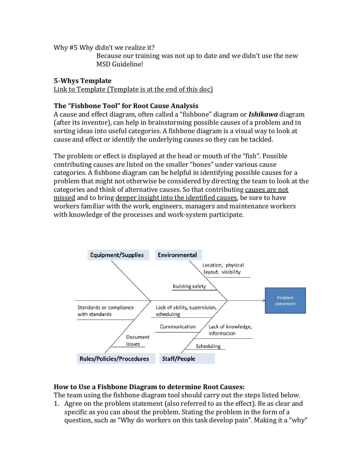Why #5 Why didn't we realize it? Because our training was not up to date and we didn't use the new MSD Guideline!

# **5-Whys Template**

Link to Template (Template is at the end of this  $doc)$ )

### **The "Fishbone Tool" for Root Cause Analysis**

A cause and effect diagram, often called a "fishbone" diagram or **Ishikawa** diagram (after its inventor), can help in brainstorming possible causes of a problem and in sorting ideas into useful categories. A fishbone diagram is a visual way to look at cause and effect or identify the underlying causes so they can be tackled.

The problem or effect is displayed at the head or mouth of the "fish". Possible contributing causes are listed on the smaller "bones" under various cause categories. A fishbone diagram can be helpful in identifying possible causes for a problem that might not otherwise be considered by directing the team to look at the categories and think of alternative causes. So that contributing causes are not missed and to bring deeper insight into the identified causes, be sure to have workers familiar with the work, engineers, managers and maintenance workers with knowledge of the processes and work-system participate.



### **How to Use a Fishbone Diagram to determine Root Causes:**

The team using the fishbone diagram tool should carry out the steps listed below.

1. Agree on the problem statement (also referred to as the effect). Be as clear and specific as you can about the problem. Stating the problem in the form of a question, such as "Why do workers on this task develop pain". Making it a "why"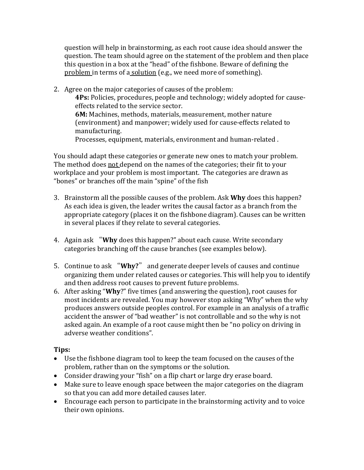question will help in brainstorming, as each root cause idea should answer the question. The team should agree on the statement of the problem and then place this question in a box at the "head" of the fishbone. Beware of defining the problem in terms of a solution (e.g., we need more of something).

2. Agree on the major categories of causes of the problem: **4Ps:** Policies, procedures, people and technology; widely adopted for causeeffects related to the service sector. **6M:** Machines, methods, materials, measurement, mother nature (environment) and manpower; widely used for cause-effects related to manufacturing. Processes, equipment, materials, environment and human-related.

You should adapt these categories or generate new ones to match your problem. The method does not depend on the names of the categories; their fit to your workplace and your problem is most important. The categories are drawn as "bones" or branches off the main "spine" of the fish

- 3. Brainstorm all the possible causes of the problem. Ask **Why** does this happen? As each idea is given, the leader writes the causal factor as a branch from the appropriate category (places it on the fishbone diagram). Causes can be written in several places if they relate to several categories.
- 4. Again ask "Why does this happen?" about each cause. Write secondary categories branching off the cause branches (see examples below).
- 5. Continue to ask "Why?" and generate deeper levels of causes and continue organizing them under related causes or categories. This will help you to identify and then address root causes to prevent future problems.
- 6. After asking "**Why**?" five times (and answering the question), root causes for most incidents are revealed. You may however stop asking "Why" when the why produces answers outside peoples control. For example in an analysis of a traffic accident the answer of "bad weather" is not controllable and so the why is not asked again. An example of a root cause might then be "no policy on driving in adverse weather conditions".

## **Tips:**

- Use the fishbone diagram tool to keep the team focused on the causes of the problem, rather than on the symptoms or the solution.
- Consider drawing your "fish" on a flip chart or large dry erase board.
- Make sure to leave enough space between the major categories on the diagram so that you can add more detailed causes later.
- Encourage each person to participate in the brainstorming activity and to voice their own opinions.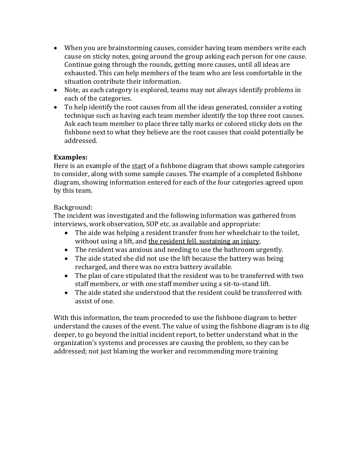- When you are brainstorming causes, consider having team members write each cause on sticky notes, going around the group asking each person for one cause. Continue going through the rounds, getting more causes, until all ideas are exhausted. This can help members of the team who are less comfortable in the situation contribute their information.
- Note, as each category is explored, teams may not always identify problems in each of the categories.
- To help identify the root causes from all the ideas generated, consider a voting technique such as having each team member identify the top three root causes. Ask each team member to place three tally marks or colored sticky dots on the fishbone next to what they believe are the root causes that could potentially be addressed.

### **Examples:**

Here is an example of the start of a fishbone diagram that shows sample categories to consider, along with some sample causes. The example of a completed fishbone diagram, showing information entered for each of the four categories agreed upon by this team.

### Background:

The incident was investigated and the following information was gathered from interviews, work observation, SOP etc. as available and appropriate:

- The aide was helping a resident transfer from her wheelchair to the toilet, without using a lift, and the resident fell, sustaining an injury.
- The resident was anxious and needing to use the bathroom urgently.
- The aide stated she did not use the lift because the battery was being recharged, and there was no extra battery available.
- The plan of care stipulated that the resident was to be transferred with two staff members, or with one staff member using a sit-to-stand lift.
- The aide stated she understood that the resident could be transferred with assist of one.

With this information, the team proceeded to use the fishbone diagram to better understand the causes of the event. The value of using the fishbone diagram is to dig deeper, to go beyond the initial incident report, to better understand what in the organization's systems and processes are causing the problem, so they can be addressed; not just blaming the worker and recommending more training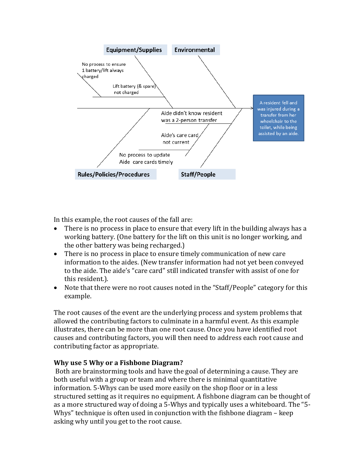

In this example, the root causes of the fall are:

- There is no process in place to ensure that every lift in the building always has a working battery. (One battery for the lift on this unit is no longer working, and the other battery was being recharged.)
- There is no process in place to ensure timely communication of new care information to the aides. (New transfer information had not yet been conveyed to the aide. The aide's "care card" still indicated transfer with assist of one for this resident.).
- Note that there were no root causes noted in the "Staff/People" category for this example.

The root causes of the event are the underlying process and system problems that allowed the contributing factors to culminate in a harmful event. As this example illustrates, there can be more than one root cause. Once you have identified root causes and contributing factors, you will then need to address each root cause and contributing factor as appropriate.

### **Why use 5 Why or a Fishbone Diagram?**

Both are brainstorming tools and have the goal of determining a cause. They are both useful with a group or team and where there is minimal quantitative information. 5-Whys can be used more easily on the shop floor or in a less structured setting as it requires no equipment. A fishbone diagram can be thought of as a more structured way of doing a 5-Whys and typically uses a whiteboard. The "5-Whys" technique is often used in conjunction with the fishbone diagram  $-$  keep asking why until you get to the root cause.